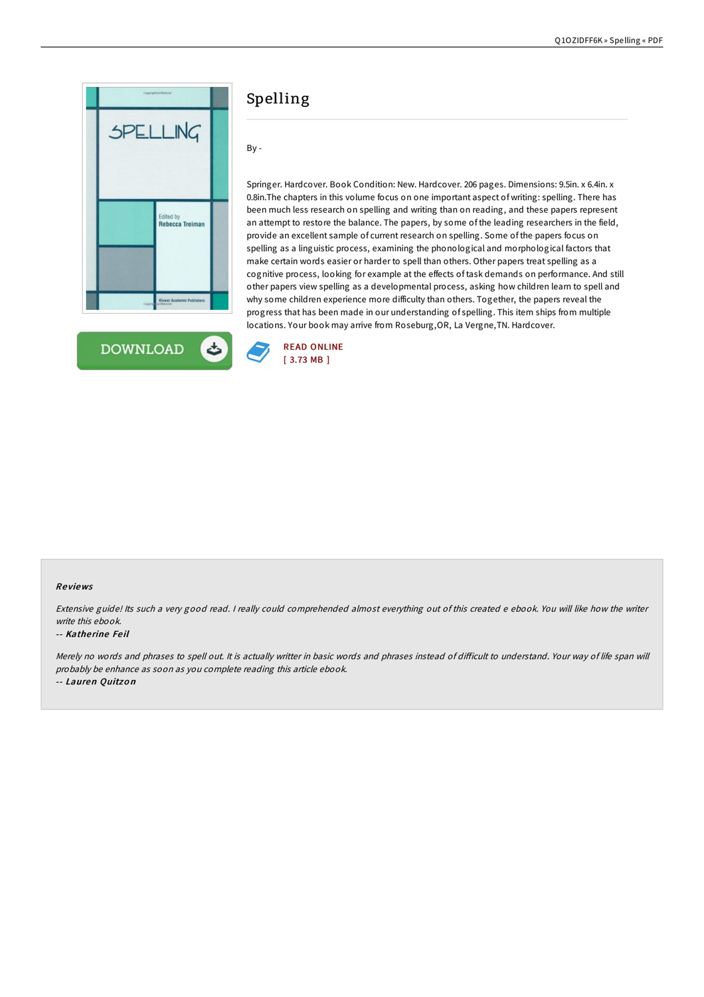



# Spelling

# By -

Springer. Hardcover. Book Condition: New. Hardcover. 206 pages. Dimensions: 9.5in. x 6.4in. x 0.8in.The chapters in this volume focus on one important aspect of writing: spelling. There has been much less research on spelling and writing than on reading, and these papers represent an attempt to restore the balance. The papers, by some of the leading researchers in the field, provide an excellent sample of current research on spelling. Some of the papers focus on spelling as a linguistic process, examining the phonological and morphological factors that make certain words easier or harder to spell than others. Other papers treat spelling as a cognitive process, looking for example at the effects of task demands on performance. And still other papers view spelling as a developmental process, asking how children learn to spell and why some children experience more difficulty than others. Together, the papers reveal the progress that has been made in our understanding of spelling. This item ships from multiple locations. Your book may arrive from Roseburg,OR, La Vergne,TN. Hardcover.



### Re views

Extensive guide! Its such a very good read. I really could comprehended almost everything out of this created e ebook. You will like how the writer write this ebook.

#### -- Katherine Feil

Merely no words and phrases to spell out. It is actually writter in basic words and phrases instead of difficult to understand. Your way of life span will probably be enhance as soon as you complete reading this article ebook. -- Lauren Quitzo <sup>n</sup>